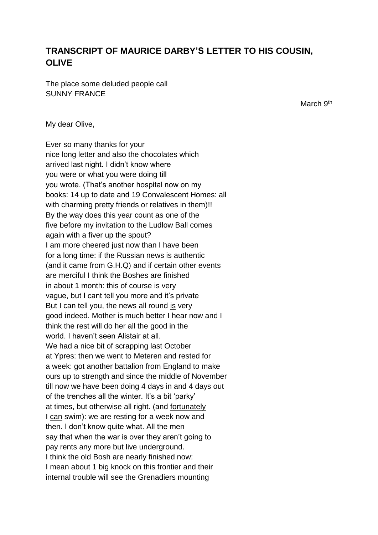## **TRANSCRIPT OF MAURICE DARBY'S LETTER TO HIS COUSIN, OLIVE**

The place some deluded people call SUNNY FRANCE

March 9<sup>th</sup>

My dear Olive,

Ever so many thanks for your nice long letter and also the chocolates which arrived last night. I didn't know where you were or what you were doing till you wrote. (That's another hospital now on my books: 14 up to date and 19 Convalescent Homes: all with charming pretty friends or relatives in them)!! By the way does this year count as one of the five before my invitation to the Ludlow Ball comes again with a fiver up the spout? I am more cheered just now than I have been for a long time: if the Russian news is authentic (and it came from G.H.Q) and if certain other events are merciful I think the Boshes are finished in about 1 month: this of course is very vague, but I cant tell you more and it's private But I can tell you, the news all round is very good indeed. Mother is much better I hear now and I think the rest will do her all the good in the world. I haven't seen Alistair at all. We had a nice bit of scrapping last October at Ypres: then we went to Meteren and rested for a week: got another battalion from England to make ours up to strength and since the middle of November till now we have been doing 4 days in and 4 days out of the trenches all the winter. It's a bit 'parky' at times, but otherwise all right. (and fortunately I can swim): we are resting for a week now and then. I don't know quite what. All the men say that when the war is over they aren't going to pay rents any more but live underground. I think the old Bosh are nearly finished now: I mean about 1 big knock on this frontier and their internal trouble will see the Grenadiers mounting